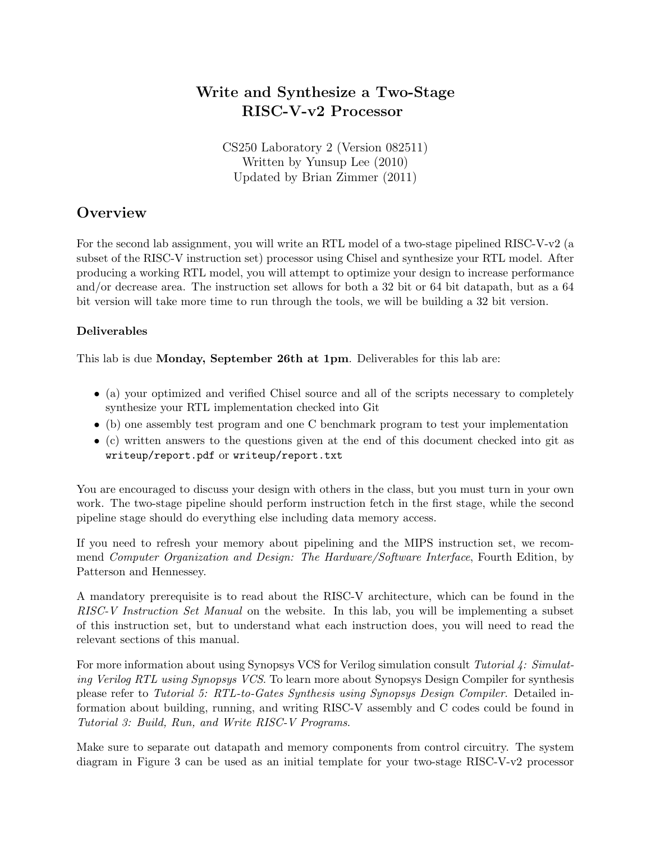# Write and Synthesize a Two-Stage RISC-V-v2 Processor

CS250 Laboratory 2 (Version 082511) Written by Yunsup Lee (2010) Updated by Brian Zimmer (2011)

# **Overview**

For the second lab assignment, you will write an RTL model of a two-stage pipelined RISC-V-v2 (a subset of the RISC-V instruction set) processor using Chisel and synthesize your RTL model. After producing a working RTL model, you will attempt to optimize your design to increase performance and/or decrease area. The instruction set allows for both a 32 bit or 64 bit datapath, but as a 64 bit version will take more time to run through the tools, we will be building a 32 bit version.

### Deliverables

This lab is due Monday, September 26th at 1pm. Deliverables for this lab are:

- (a) your optimized and verified Chisel source and all of the scripts necessary to completely synthesize your RTL implementation checked into Git
- (b) one assembly test program and one C benchmark program to test your implementation
- (c) written answers to the questions given at the end of this document checked into git as writeup/report.pdf or writeup/report.txt

You are encouraged to discuss your design with others in the class, but you must turn in your own work. The two-stage pipeline should perform instruction fetch in the first stage, while the second pipeline stage should do everything else including data memory access.

If you need to refresh your memory about pipelining and the MIPS instruction set, we recommend Computer Organization and Design: The Hardware/Software Interface, Fourth Edition, by Patterson and Hennessey.

A mandatory prerequisite is to read about the RISC-V architecture, which can be found in the RISC-V Instruction Set Manual on the website. In this lab, you will be implementing a subset of this instruction set, but to understand what each instruction does, you will need to read the relevant sections of this manual.

For more information about using Synopsys VCS for Verilog simulation consult Tutorial 4: Simulating Verilog RTL using Synopsys VCS. To learn more about Synopsys Design Compiler for synthesis please refer to Tutorial 5: RTL-to-Gates Synthesis using Synopsys Design Compiler. Detailed information about building, running, and writing RISC-V assembly and C codes could be found in Tutorial 3: Build, Run, and Write RISC-V Programs.

Make sure to separate out datapath and memory components from control circuitry. The system diagram in Figure 3 can be used as an initial template for your two-stage RISC-V-v2 processor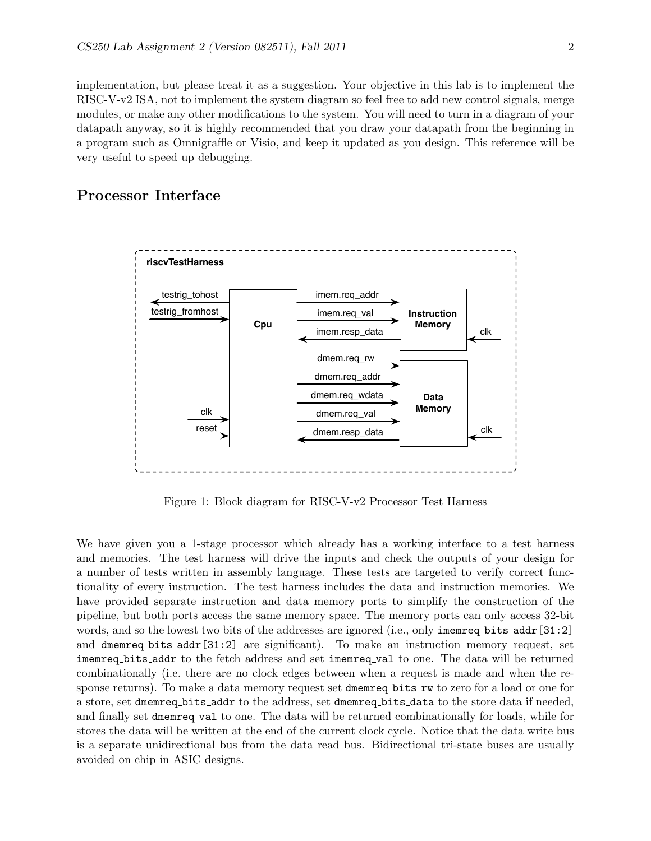implementation, but please treat it as a suggestion. Your objective in this lab is to implement the RISC-V-v2 ISA, not to implement the system diagram so feel free to add new control signals, merge modules, or make any other modifications to the system. You will need to turn in a diagram of your datapath anyway, so it is highly recommended that you draw your datapath from the beginning in a program such as Omnigraffle or Visio, and keep it updated as you design. This reference will be very useful to speed up debugging.

## Processor Interface



Figure 1: Block diagram for RISC-V-v2 Processor Test Harness

We have given you a 1-stage processor which already has a working interface to a test harness and memories. The test harness will drive the inputs and check the outputs of your design for a number of tests written in assembly language. These tests are targeted to verify correct functionality of every instruction. The test harness includes the data and instruction memories. We have provided separate instruction and data memory ports to simplify the construction of the pipeline, but both ports access the same memory space. The memory ports can only access 32-bit words, and so the lowest two bits of the addresses are ignored (i.e., only imemreq bits addr[31:2] and dmemreq bits addr[31:2] are significant). To make an instruction memory request, set imemreq bits addr to the fetch address and set imemreq val to one. The data will be returned combinationally (i.e. there are no clock edges between when a request is made and when the response returns). To make a data memory request set dmemreq bits rw to zero for a load or one for a store, set dmemreq bits addr to the address, set dmemreq bits data to the store data if needed, and finally set dmemreq val to one. The data will be returned combinationally for loads, while for stores the data will be written at the end of the current clock cycle. Notice that the data write bus is a separate unidirectional bus from the data read bus. Bidirectional tri-state buses are usually avoided on chip in ASIC designs.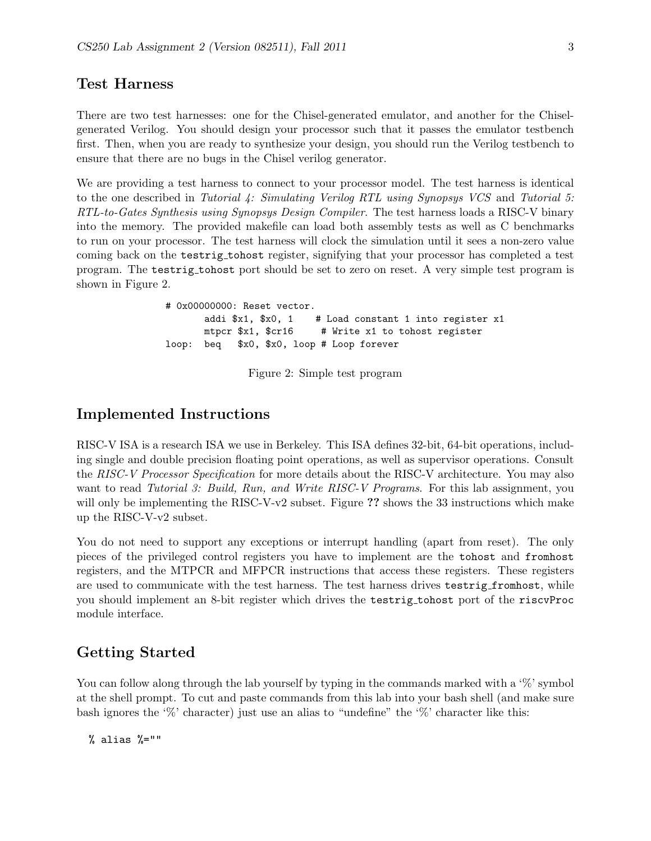### Test Harness

There are two test harnesses: one for the Chisel-generated emulator, and another for the Chiselgenerated Verilog. You should design your processor such that it passes the emulator testbench first. Then, when you are ready to synthesize your design, you should run the Verilog testbench to ensure that there are no bugs in the Chisel verilog generator.

We are providing a test harness to connect to your processor model. The test harness is identical to the one described in Tutorial 4: Simulating Verilog RTL using Synopsys VCS and Tutorial 5: RTL-to-Gates Synthesis using Synopsys Design Compiler. The test harness loads a RISC-V binary into the memory. The provided makefile can load both assembly tests as well as C benchmarks to run on your processor. The test harness will clock the simulation until it sees a non-zero value coming back on the testrig tohost register, signifying that your processor has completed a test program. The testrig tohost port should be set to zero on reset. A very simple test program is shown in Figure 2.

> # 0x00000000: Reset vector. addi  $x1$ ,  $x0$ , 1 # Load constant 1 into register x1 mtpcr \$x1, \$cr16 # Write x1 to tohost register loop: beq \$x0, \$x0, loop # Loop forever

> > Figure 2: Simple test program

## Implemented Instructions

RISC-V ISA is a research ISA we use in Berkeley. This ISA defines 32-bit, 64-bit operations, including single and double precision floating point operations, as well as supervisor operations. Consult the RISC-V Processor Specification for more details about the RISC-V architecture. You may also want to read Tutorial 3: Build, Run, and Write RISC-V Programs. For this lab assignment, you will only be implementing the RISC-V-v2 subset. Figure  $\overline{?}$  shows the 33 instructions which make up the RISC-V-v2 subset.

You do not need to support any exceptions or interrupt handling (apart from reset). The only pieces of the privileged control registers you have to implement are the tohost and fromhost registers, and the MTPCR and MFPCR instructions that access these registers. These registers are used to communicate with the test harness. The test harness drives testrig fromhost, while you should implement an 8-bit register which drives the testrig tohost port of the riscvProc module interface.

### Getting Started

You can follow along through the lab yourself by typing in the commands marked with a '%' symbol at the shell prompt. To cut and paste commands from this lab into your bash shell (and make sure bash ignores the '%' character) just use an alias to "undefine" the '%' character like this:

 $%$  alias  $\frac{9}{2}$ =""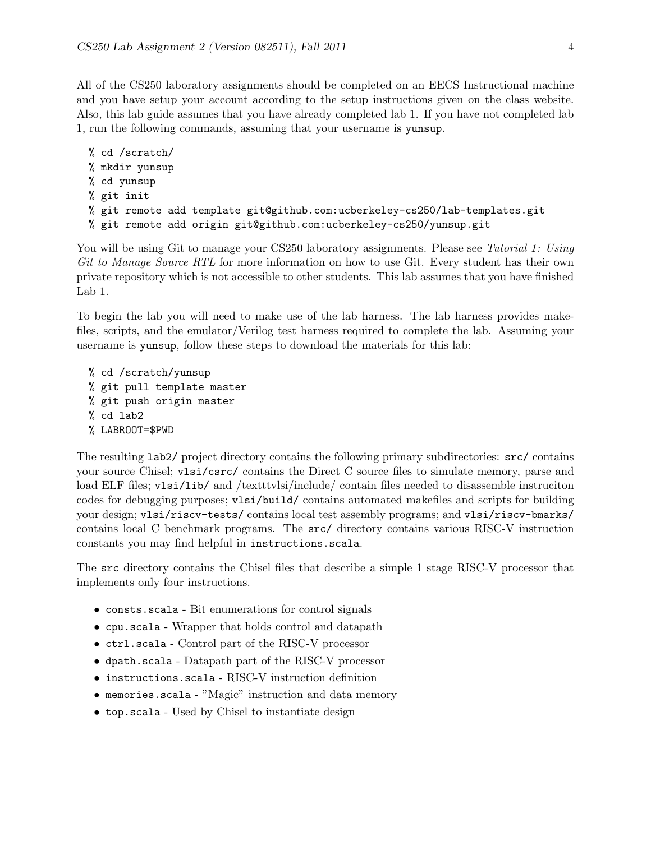All of the CS250 laboratory assignments should be completed on an EECS Instructional machine and you have setup your account according to the setup instructions given on the class website. Also, this lab guide assumes that you have already completed lab 1. If you have not completed lab 1, run the following commands, assuming that your username is yunsup.

```
% cd /scratch/
% mkdir yunsup
% cd yunsup
% git init
% git remote add template git@github.com:ucberkeley-cs250/lab-templates.git
% git remote add origin git@github.com:ucberkeley-cs250/yunsup.git
```
You will be using Git to manage your CS250 laboratory assignments. Please see Tutorial 1: Using Git to Manage Source RTL for more information on how to use Git. Every student has their own private repository which is not accessible to other students. This lab assumes that you have finished Lab 1.

To begin the lab you will need to make use of the lab harness. The lab harness provides makefiles, scripts, and the emulator/Verilog test harness required to complete the lab. Assuming your username is yunsup, follow these steps to download the materials for this lab:

```
% cd /scratch/yunsup
% git pull template master
% git push origin master
% cd lab2
% LABROOT=$PWD
```
The resulting lab2/ project directory contains the following primary subdirectories: src/ contains your source Chisel; vlsi/csrc/ contains the Direct C source files to simulate memory, parse and load ELF files; v1si/lib/ and /textttvlsi/include/ contain files needed to disassemble instruciton codes for debugging purposes; vlsi/build/ contains automated makefiles and scripts for building your design; vlsi/riscv-tests/ contains local test assembly programs; and vlsi/riscv-bmarks/ contains local C benchmark programs. The src/ directory contains various RISC-V instruction constants you may find helpful in instructions.scala.

The src directory contains the Chisel files that describe a simple 1 stage RISC-V processor that implements only four instructions.

- consts.scala Bit enumerations for control signals
- cpu.scala Wrapper that holds control and datapath
- ctrl.scala Control part of the RISC-V processor
- dpath.scala Datapath part of the RISC-V processor
- instructions.scala RISC-V instruction definition
- memories.scala "Magic" instruction and data memory
- top.scala Used by Chisel to instantiate design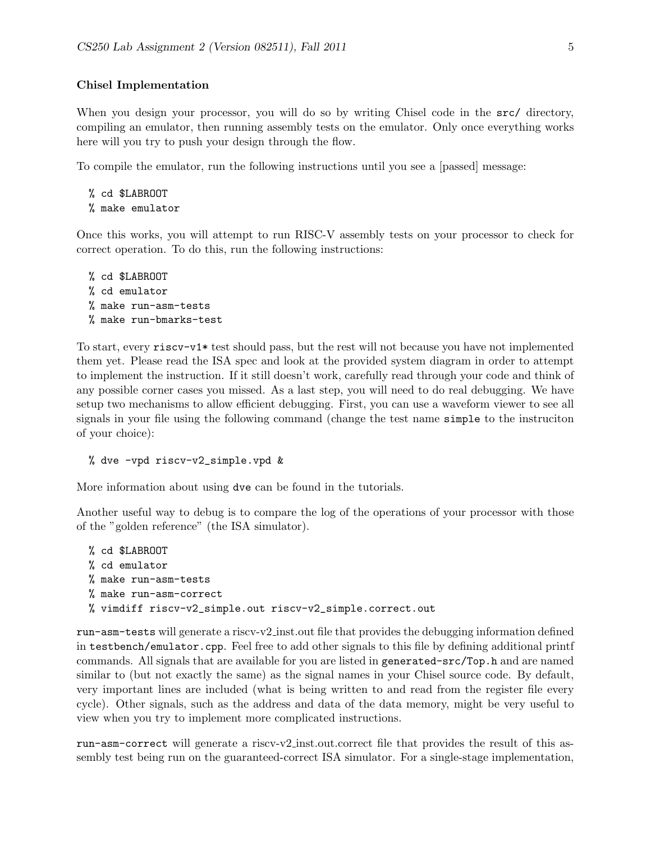#### Chisel Implementation

When you design your processor, you will do so by writing Chisel code in the  $src/$  directory, compiling an emulator, then running assembly tests on the emulator. Only once everything works here will you try to push your design through the flow.

To compile the emulator, run the following instructions until you see a [passed] message:

```
% cd $LABROOT
% make emulator
```
Once this works, you will attempt to run RISC-V assembly tests on your processor to check for correct operation. To do this, run the following instructions:

```
% cd $LABROOT
% cd emulator
% make run-asm-tests
% make run-bmarks-test
```
To start, every riscv-v1\* test should pass, but the rest will not because you have not implemented them yet. Please read the ISA spec and look at the provided system diagram in order to attempt to implement the instruction. If it still doesn't work, carefully read through your code and think of any possible corner cases you missed. As a last step, you will need to do real debugging. We have setup two mechanisms to allow efficient debugging. First, you can use a waveform viewer to see all signals in your file using the following command (change the test name simple to the instruciton of your choice):

% dve -vpd riscv-v2\_simple.vpd &

More information about using dve can be found in the tutorials.

Another useful way to debug is to compare the log of the operations of your processor with those of the "golden reference" (the ISA simulator).

```
% cd $LABROOT
% cd emulator
% make run-asm-tests
% make run-asm-correct
% vimdiff riscv-v2_simple.out riscv-v2_simple.correct.out
```
run-asm-tests will generate a riscv-v2 inst.out file that provides the debugging information defined in testbench/emulator.cpp. Feel free to add other signals to this file by defining additional printf commands. All signals that are available for you are listed in generated-src/Top.h and are named similar to (but not exactly the same) as the signal names in your Chisel source code. By default, very important lines are included (what is being written to and read from the register file every cycle). Other signals, such as the address and data of the data memory, might be very useful to view when you try to implement more complicated instructions.

run-asm-correct will generate a riscv-v2 inst.out.correct file that provides the result of this assembly test being run on the guaranteed-correct ISA simulator. For a single-stage implementation,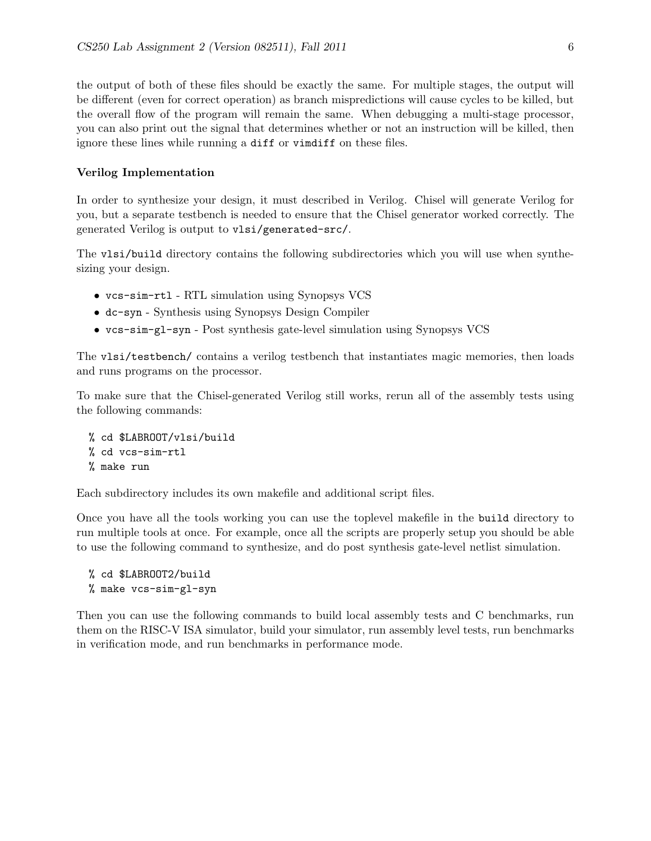the output of both of these files should be exactly the same. For multiple stages, the output will be different (even for correct operation) as branch mispredictions will cause cycles to be killed, but the overall flow of the program will remain the same. When debugging a multi-stage processor, you can also print out the signal that determines whether or not an instruction will be killed, then ignore these lines while running a diff or vimdiff on these files.

#### Verilog Implementation

In order to synthesize your design, it must described in Verilog. Chisel will generate Verilog for you, but a separate testbench is needed to ensure that the Chisel generator worked correctly. The generated Verilog is output to vlsi/generated-src/.

The vlsi/build directory contains the following subdirectories which you will use when synthesizing your design.

- vcs-sim-rtl RTL simulation using Synopsys VCS
- dc-syn Synthesis using Synopsys Design Compiler
- vcs-sim-gl-syn Post synthesis gate-level simulation using Synopsys VCS

The vlsi/testbench/ contains a verilog testbench that instantiates magic memories, then loads and runs programs on the processor.

To make sure that the Chisel-generated Verilog still works, rerun all of the assembly tests using the following commands:

% cd \$LABROOT/vlsi/build % cd vcs-sim-rtl % make run

Each subdirectory includes its own makefile and additional script files.

Once you have all the tools working you can use the toplevel makefile in the build directory to run multiple tools at once. For example, once all the scripts are properly setup you should be able to use the following command to synthesize, and do post synthesis gate-level netlist simulation.

```
% cd $LABROOT2/build
% make vcs-sim-gl-syn
```
Then you can use the following commands to build local assembly tests and C benchmarks, run them on the RISC-V ISA simulator, build your simulator, run assembly level tests, run benchmarks in verification mode, and run benchmarks in performance mode.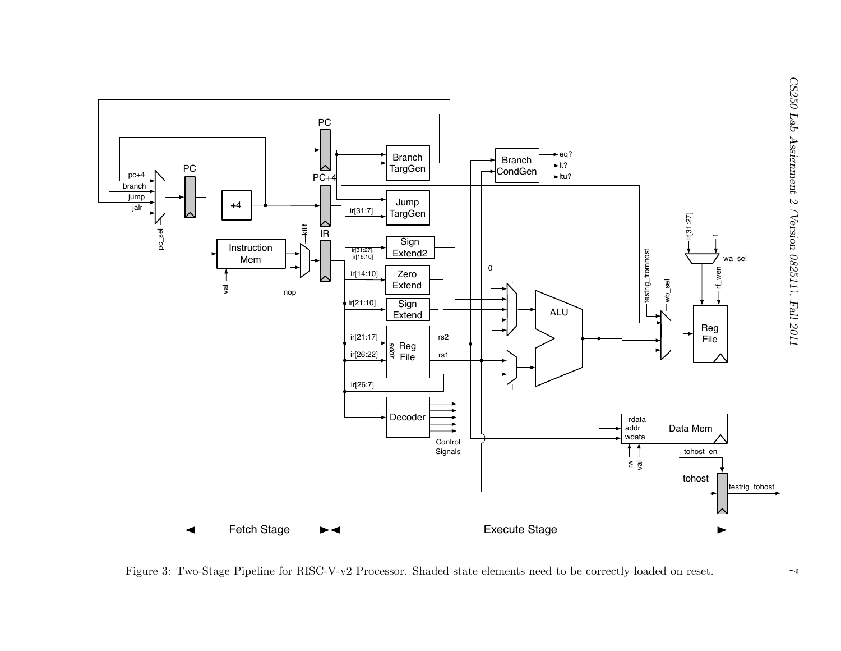

Figure 3: Two-Stage Pipeline for RISC-V-v2 Processor. Shaded state elements need to be correctly loaded on reset.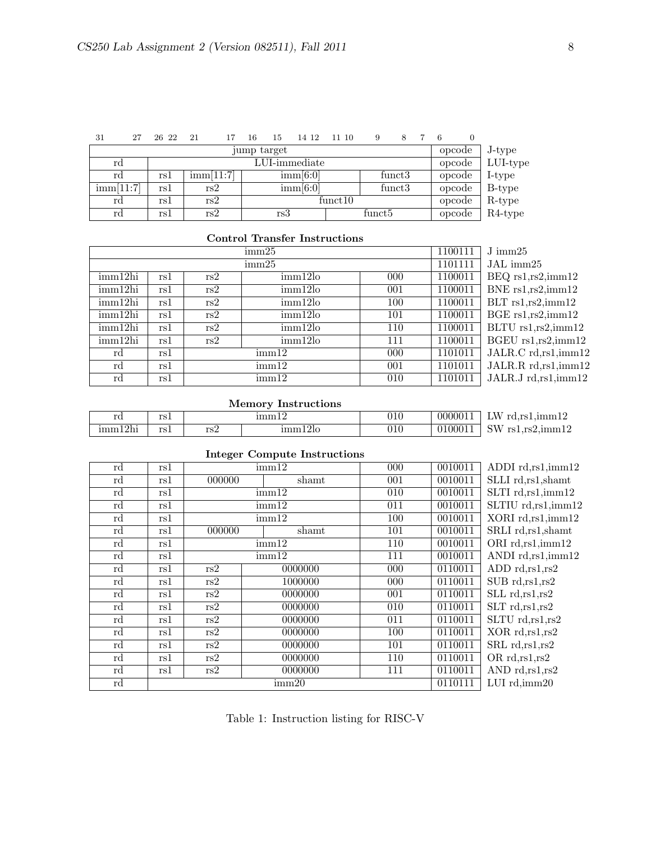| 31                  | 27 | 26 22 | 21                   |  | 16                  | 15  | 14 12               | 11 10  |          | 9                  |        |        | 6 |        |            |
|---------------------|----|-------|----------------------|--|---------------------|-----|---------------------|--------|----------|--------------------|--------|--------|---|--------|------------|
| jump target         |    |       |                      |  |                     |     |                     | opcode | J-type   |                    |        |        |   |        |            |
| LUI-immediate<br>rd |    |       |                      |  |                     |     |                     | opcode | LUI-type |                    |        |        |   |        |            |
| rd                  |    | rsl   | $\mathrm{imm}[11:7]$ |  |                     |     | $\mathrm{imm}[6:0]$ |        |          |                    | funct3 |        |   | opcode | I-type     |
| imm[11:7]           |    | rsl   | rs2                  |  | $\mathrm{imm}[6:0]$ |     |                     | funct3 |          |                    | opcode | B-type |   |        |            |
| rd                  |    | rs1   | rs2                  |  | funct10             |     |                     |        |          |                    | opcode | R-type |   |        |            |
| rd                  |    | rs1   | rs2                  |  |                     | rs3 |                     |        |          | funct <sub>5</sub> |        |        |   | opcode | $R4$ -type |

### Control Transfer Instructions

|         |     |                | 1100111 | $J\text{ imm25}$ |         |                       |
|---------|-----|----------------|---------|------------------|---------|-----------------------|
|         |     |                | 1101111 | JAL imm25        |         |                       |
| imm12hi | rs1 | rs2            | imm12lo | 000              | 1100011 | $BEQ$ rs1, rs2, imm12 |
| imm12hi | rs1 | rs2            | imm12lo | 001              | 1100011 | BNE $rs1, rs2, imm12$ |
| imm12hi | rs1 | rs2            | imm12lo | 100              | 1100011 | $BLT$ rs1, rs2, imm12 |
| imm12hi | rs1 | imm12lo<br>rs2 |         | 101              | 1100011 | $BGE$ rs1, rs2, imm12 |
| imm12hi | rs1 | rs2            | imm12lo | 110              | 1100011 | BLTU rs1,rs2,imm12    |
| imm12hi | rs1 | rs2            | imm12lo | 111              | 1100011 | BGEU rs1, rs2, imm12  |
| rd      | rs1 |                | imm12   | 000              | 1101011 | JALR.C rd,rs1,imm12   |
| rd      | rs1 |                | imm12   | 001              | 1101011 | JALR.R rd,rs1,imm12   |
| rd      | rs1 |                | imm12   | 010              | 1101011 | JALR.J rd,rs1,imm12   |

### Memory Instructions

| rd                      | $_{rc}$<br><b>ADA</b> |     | ımm        | 010     | 0000011 | <b>TTTT</b><br>⊥W⊥<br>d.rs<br>-rd<br>.umm E                 |
|-------------------------|-----------------------|-----|------------|---------|---------|-------------------------------------------------------------|
| 12 <sub>h1</sub><br>'mm | $_{rc}$<br>10 L       | rs2 | 120<br>ımm | $010\,$ | 0100011 | SW <sub></sub><br>$\sim$ $\sim$<br>rs l<br>rs')<br>s2.ımm12 |

| meger compute mon actions |     |        |                           |                  |         |                      |  |  |
|---------------------------|-----|--------|---------------------------|------------------|---------|----------------------|--|--|
| rd                        | rs1 | imm12  |                           | 000              | 0010011 | ADDI rd,rs1,imm12    |  |  |
| rd                        | rs1 | 000000 | shamt                     | 001              | 0010011 | SLLI rd, rs1, shamt  |  |  |
| rd                        | rs1 |        | $\overline{\text{imm}}12$ | 010              | 0010011 | SLTI rd, rs1, imm12  |  |  |
| rd                        | rs1 |        | imm12                     | 011              | 0010011 | SLTIU rd,rs1,imm12   |  |  |
| rd                        | rs1 |        | imm12                     | 100              | 0010011 | XORI rd, rs1, imm12  |  |  |
| rd                        | rs1 | 000000 | shamt                     | 101              | 0010011 | SRLI rd, rs1, shamt  |  |  |
| rd                        | rs1 |        | imm12                     | 110              | 0010011 | ORI rd,rs1,imm12     |  |  |
| rd                        | rs1 |        | imm12                     | 111              | 0010011 | ANDI rd,rs1,imm12    |  |  |
| rd                        | rs1 | rs2    | 0000000                   | $\overline{000}$ | 0110011 | ADD $rd, rs1, rs2$   |  |  |
| rd                        | rs1 | rs2    | 1000000                   | 000              | 0110011 | SUB rd, rs1, rs2     |  |  |
| rd                        | rs1 | rs2    | 0000000                   | 001              | 0110011 | SLL rd, rs1, rs2     |  |  |
| rd                        | rs1 | rs2    | 0000000                   | 010              | 0110011 | $SLT$ rd, $rs1, rs2$ |  |  |
| rd                        | rs1 | rs2    | 0000000                   | 011              | 0110011 | SLTU rd, rs1, rs2    |  |  |
| rd                        | rs1 | rs2    | 0000000                   | 100              | 0110011 | XOR rd, rs1, rs2     |  |  |
| rd                        | rs1 | rs2    | 0000000                   | 101              | 0110011 | SRL rd, rs1, rs2     |  |  |
| rd                        | rs1 | rs2    | 0000000                   | 110              | 0110011 | OR rd, rs1, rs2      |  |  |
| rd                        | rs1 | rs2    | 0000000                   | 111              | 0110011 | AND rd, rs1, rs2     |  |  |
| rd                        |     |        | $\mathrm{imm}20$          |                  | 0110111 | LUI rd, imm20        |  |  |
|                           |     |        |                           |                  |         |                      |  |  |

# Integer Compute Instructions

Table 1: Instruction listing for RISC-V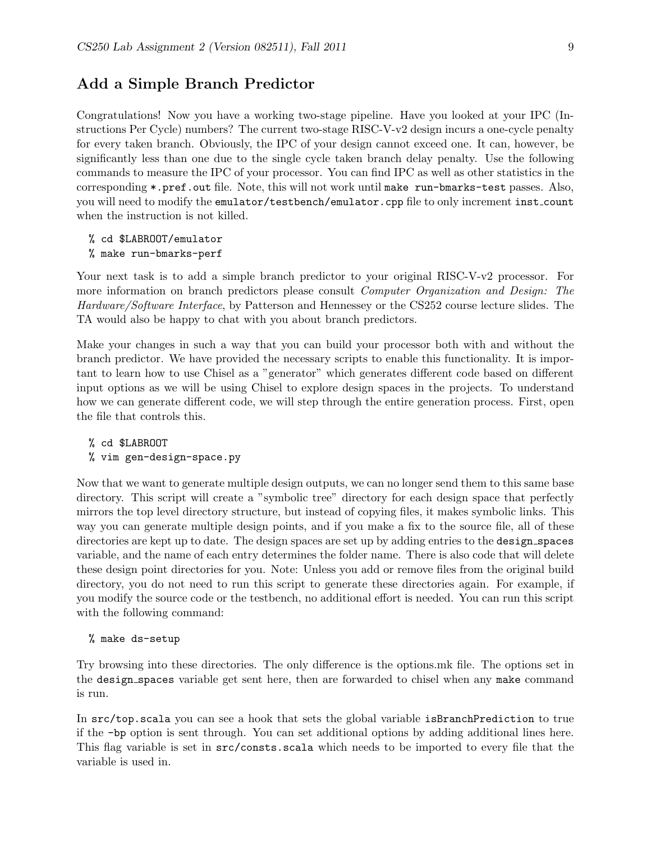### Add a Simple Branch Predictor

Congratulations! Now you have a working two-stage pipeline. Have you looked at your IPC (Instructions Per Cycle) numbers? The current two-stage RISC-V-v2 design incurs a one-cycle penalty for every taken branch. Obviously, the IPC of your design cannot exceed one. It can, however, be significantly less than one due to the single cycle taken branch delay penalty. Use the following commands to measure the IPC of your processor. You can find IPC as well as other statistics in the corresponding \*.pref.out file. Note, this will not work until make run-bmarks-test passes. Also, you will need to modify the emulator/testbench/emulator.cpp file to only increment inst count when the instruction is not killed.

% cd \$LABROOT/emulator

% make run-bmarks-perf

Your next task is to add a simple branch predictor to your original RISC-V-v2 processor. For more information on branch predictors please consult *Computer Organization and Design: The* Hardware/Software Interface, by Patterson and Hennessey or the CS252 course lecture slides. The TA would also be happy to chat with you about branch predictors.

Make your changes in such a way that you can build your processor both with and without the branch predictor. We have provided the necessary scripts to enable this functionality. It is important to learn how to use Chisel as a "generator" which generates different code based on different input options as we will be using Chisel to explore design spaces in the projects. To understand how we can generate different code, we will step through the entire generation process. First, open the file that controls this.

% cd \$LABROOT

% vim gen-design-space.py

Now that we want to generate multiple design outputs, we can no longer send them to this same base directory. This script will create a "symbolic tree" directory for each design space that perfectly mirrors the top level directory structure, but instead of copying files, it makes symbolic links. This way you can generate multiple design points, and if you make a fix to the source file, all of these directories are kept up to date. The design spaces are set up by adding entries to the design\_spaces variable, and the name of each entry determines the folder name. There is also code that will delete these design point directories for you. Note: Unless you add or remove files from the original build directory, you do not need to run this script to generate these directories again. For example, if you modify the source code or the testbench, no additional effort is needed. You can run this script with the following command:

% make ds-setup

Try browsing into these directories. The only difference is the options.mk file. The options set in the design spaces variable get sent here, then are forwarded to chisel when any make command is run.

In src/top.scala you can see a hook that sets the global variable isBranchPrediction to true if the -bp option is sent through. You can set additional options by adding additional lines here. This flag variable is set in src/consts.scala which needs to be imported to every file that the variable is used in.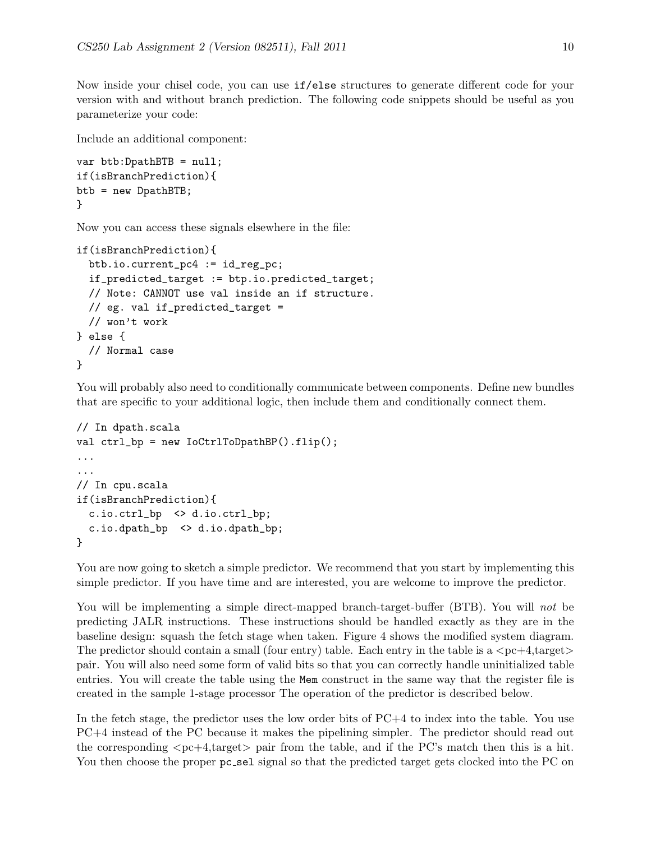Now inside your chisel code, you can use if/else structures to generate different code for your version with and without branch prediction. The following code snippets should be useful as you parameterize your code:

Include an additional component:

```
var btb:DpathBTB = null;
if(isBranchPrediction){
btb = new DpathBTB;
}
```
Now you can access these signals elsewhere in the file:

```
if(isBranchPrediction){
  btb.io.current_pc4 := id_reg_pc;
  if_predicted_target := btp.io.predicted_target;
  // Note: CANNOT use val inside an if structure.
  // eg. val if_predicted_target =
 // won't work
} else {
  // Normal case
}
```
You will probably also need to conditionally communicate between components. Define new bundles that are specific to your additional logic, then include them and conditionally connect them.

```
// In dpath.scala
val ctrl_bp = new IoCtrlToDpathBP().flip();
...
...
// In cpu.scala
if(isBranchPrediction){
  c.io.ctrl_bp <> d.io.ctrl_bp;
  c.io.dpath_bp <> d.io.dpath_bp;
}
```
You are now going to sketch a simple predictor. We recommend that you start by implementing this simple predictor. If you have time and are interested, you are welcome to improve the predictor.

You will be implementing a simple direct-mapped branch-target-buffer (BTB). You will not be predicting JALR instructions. These instructions should be handled exactly as they are in the baseline design: squash the fetch stage when taken. Figure 4 shows the modified system diagram. The predictor should contain a small (four entry) table. Each entry in the table is a  $\langle$ pc+4,target $\rangle$ pair. You will also need some form of valid bits so that you can correctly handle uninitialized table entries. You will create the table using the Mem construct in the same way that the register file is created in the sample 1-stage processor The operation of the predictor is described below.

In the fetch stage, the predictor uses the low order bits of PC+4 to index into the table. You use PC+4 instead of the PC because it makes the pipelining simpler. The predictor should read out the corresponding  $\langle pc+4, \text{target}\rangle$  pair from the table, and if the PC's match then this is a hit. You then choose the proper pc sel signal so that the predicted target gets clocked into the PC on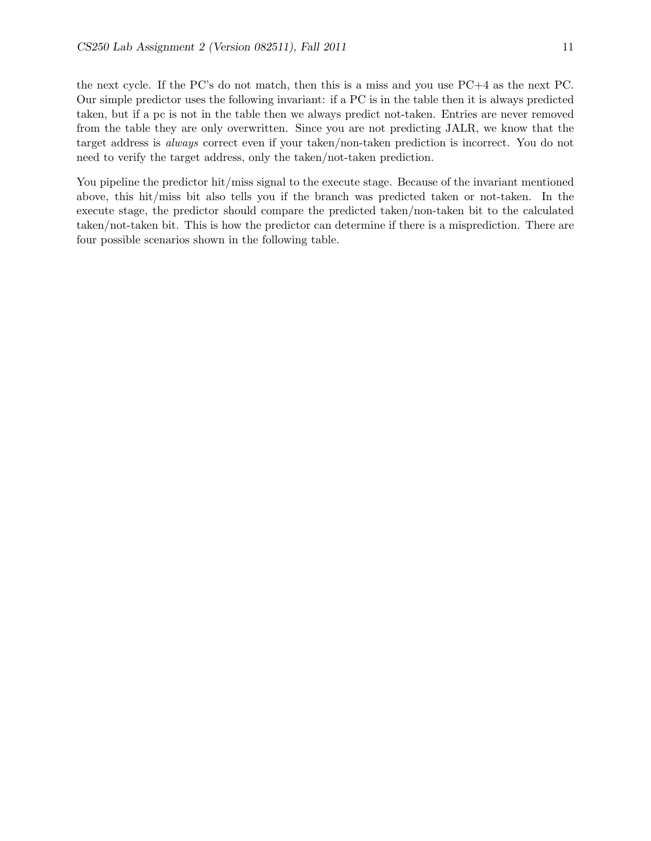the next cycle. If the PC's do not match, then this is a miss and you use PC+4 as the next PC. Our simple predictor uses the following invariant: if a PC is in the table then it is always predicted taken, but if a pc is not in the table then we always predict not-taken. Entries are never removed from the table they are only overwritten. Since you are not predicting JALR, we know that the target address is always correct even if your taken/non-taken prediction is incorrect. You do not need to verify the target address, only the taken/not-taken prediction.

You pipeline the predictor hit/miss signal to the execute stage. Because of the invariant mentioned above, this hit/miss bit also tells you if the branch was predicted taken or not-taken. In the execute stage, the predictor should compare the predicted taken/non-taken bit to the calculated taken/not-taken bit. This is how the predictor can determine if there is a misprediction. There are four possible scenarios shown in the following table.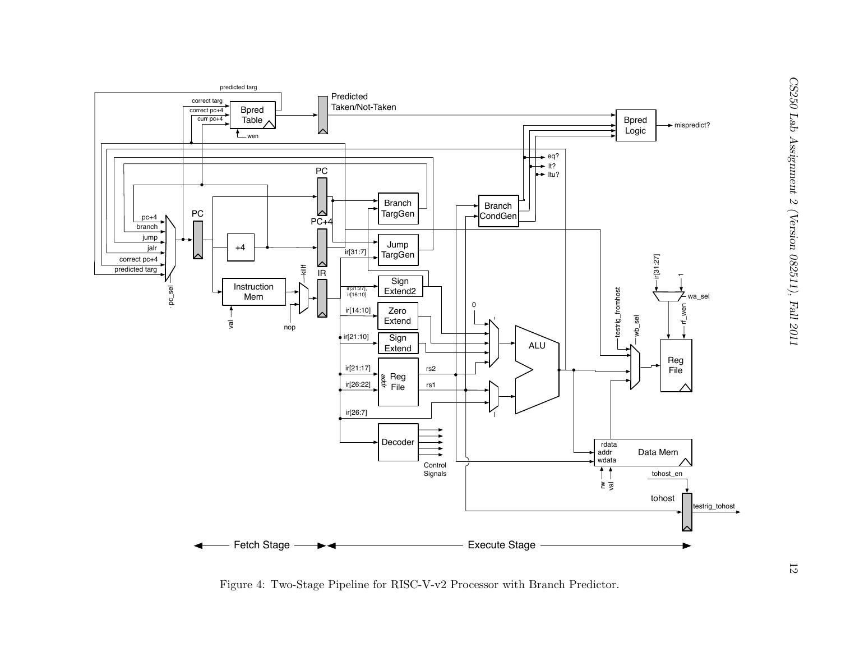

Figure 4: Two-Stage Pipeline for RISC-V-v2 Processor with Branch Predictor.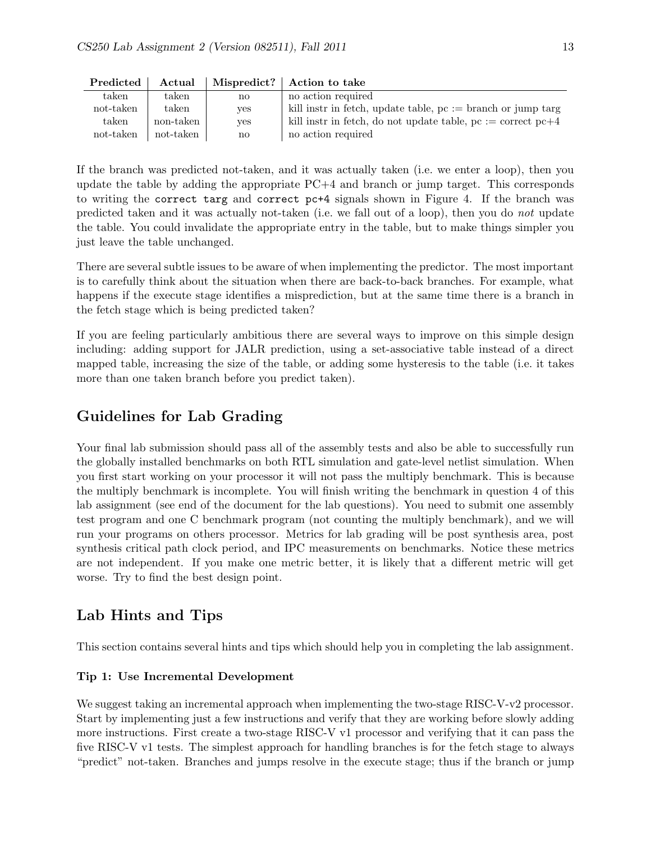| 1 regiorea | Actual         | whspleance: | Action to take                                                   |
|------------|----------------|-------------|------------------------------------------------------------------|
| taken      | $_{\rm taken}$ | no          | no action required                                               |
| not-taken  | taken          | ves         | kill instr in fetch, update table, $pc := branch$ or jump targ   |
| taken      | non-taken      | ves         | kill instr in fetch, do not update table, $pc := correct$ $pc+4$ |
| not-taken  | not-taken      | no          | no action required                                               |

Predicted  $\Delta$ ctual Mispredict?  $\Delta$ ction to take

If the branch was predicted not-taken, and it was actually taken (i.e. we enter a loop), then you update the table by adding the appropriate PC+4 and branch or jump target. This corresponds to writing the correct targ and correct pc+4 signals shown in Figure 4. If the branch was predicted taken and it was actually not-taken (i.e. we fall out of a loop), then you do not update the table. You could invalidate the appropriate entry in the table, but to make things simpler you just leave the table unchanged.

There are several subtle issues to be aware of when implementing the predictor. The most important is to carefully think about the situation when there are back-to-back branches. For example, what happens if the execute stage identifies a misprediction, but at the same time there is a branch in the fetch stage which is being predicted taken?

If you are feeling particularly ambitious there are several ways to improve on this simple design including: adding support for JALR prediction, using a set-associative table instead of a direct mapped table, increasing the size of the table, or adding some hysteresis to the table (i.e. it takes more than one taken branch before you predict taken).

## Guidelines for Lab Grading

Your final lab submission should pass all of the assembly tests and also be able to successfully run the globally installed benchmarks on both RTL simulation and gate-level netlist simulation. When you first start working on your processor it will not pass the multiply benchmark. This is because the multiply benchmark is incomplete. You will finish writing the benchmark in question 4 of this lab assignment (see end of the document for the lab questions). You need to submit one assembly test program and one C benchmark program (not counting the multiply benchmark), and we will run your programs on others processor. Metrics for lab grading will be post synthesis area, post synthesis critical path clock period, and IPC measurements on benchmarks. Notice these metrics are not independent. If you make one metric better, it is likely that a different metric will get worse. Try to find the best design point.

# Lab Hints and Tips

This section contains several hints and tips which should help you in completing the lab assignment.

### Tip 1: Use Incremental Development

We suggest taking an incremental approach when implementing the two-stage RISC-V-v2 processor. Start by implementing just a few instructions and verify that they are working before slowly adding more instructions. First create a two-stage RISC-V v1 processor and verifying that it can pass the five RISC-V v1 tests. The simplest approach for handling branches is for the fetch stage to always "predict" not-taken. Branches and jumps resolve in the execute stage; thus if the branch or jump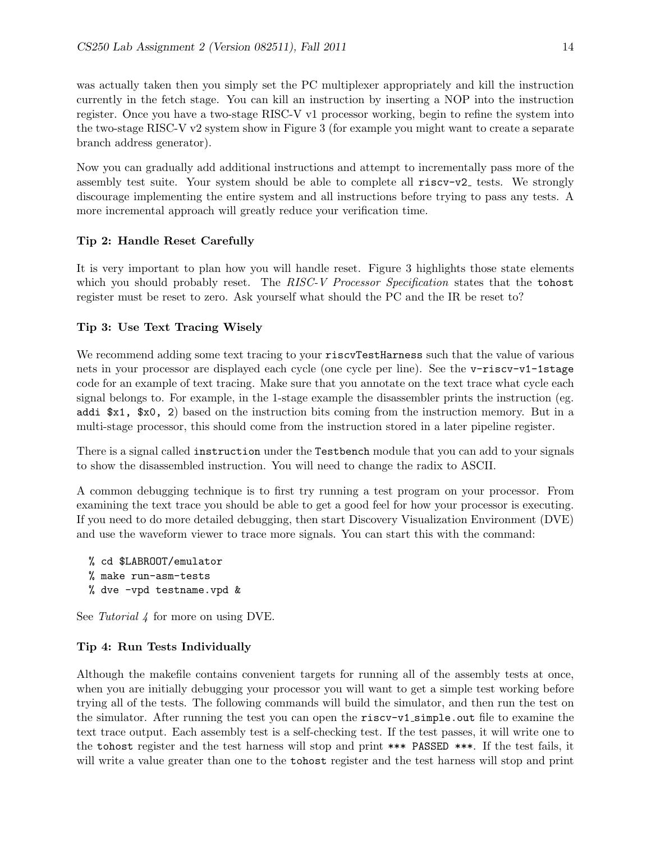was actually taken then you simply set the PC multiplexer appropriately and kill the instruction currently in the fetch stage. You can kill an instruction by inserting a NOP into the instruction register. Once you have a two-stage RISC-V v1 processor working, begin to refine the system into the two-stage RISC-V v2 system show in Figure 3 (for example you might want to create a separate branch address generator).

Now you can gradually add additional instructions and attempt to incrementally pass more of the assembly test suite. Your system should be able to complete all  $\text{riscv-v2}_$  tests. We strongly discourage implementing the entire system and all instructions before trying to pass any tests. A more incremental approach will greatly reduce your verification time.

### Tip 2: Handle Reset Carefully

It is very important to plan how you will handle reset. Figure 3 highlights those state elements which you should probably reset. The RISC-V Processor Specification states that the tohost register must be reset to zero. Ask yourself what should the PC and the IR be reset to?

### Tip 3: Use Text Tracing Wisely

We recommend adding some text tracing to your riscvTestHarness such that the value of various nets in your processor are displayed each cycle (one cycle per line). See the v-riscv-v1-1stage code for an example of text tracing. Make sure that you annotate on the text trace what cycle each signal belongs to. For example, in the 1-stage example the disassembler prints the instruction (eg. addi \$x1, \$x0, 2) based on the instruction bits coming from the instruction memory. But in a multi-stage processor, this should come from the instruction stored in a later pipeline register.

There is a signal called instruction under the Testbench module that you can add to your signals to show the disassembled instruction. You will need to change the radix to ASCII.

A common debugging technique is to first try running a test program on your processor. From examining the text trace you should be able to get a good feel for how your processor is executing. If you need to do more detailed debugging, then start Discovery Visualization Environment (DVE) and use the waveform viewer to trace more signals. You can start this with the command:

```
% cd $LABROOT/emulator
% make run-asm-tests
% dve -vpd testname.vpd &
```
See Tutorial 4 for more on using DVE.

### Tip 4: Run Tests Individually

Although the makefile contains convenient targets for running all of the assembly tests at once, when you are initially debugging your processor you will want to get a simple test working before trying all of the tests. The following commands will build the simulator, and then run the test on the simulator. After running the test you can open the riscv-v1 simple.out file to examine the text trace output. Each assembly test is a self-checking test. If the test passes, it will write one to the tohost register and the test harness will stop and print \*\*\* PASSED \*\*\*. If the test fails, it will write a value greater than one to the **tohost** register and the test harness will stop and print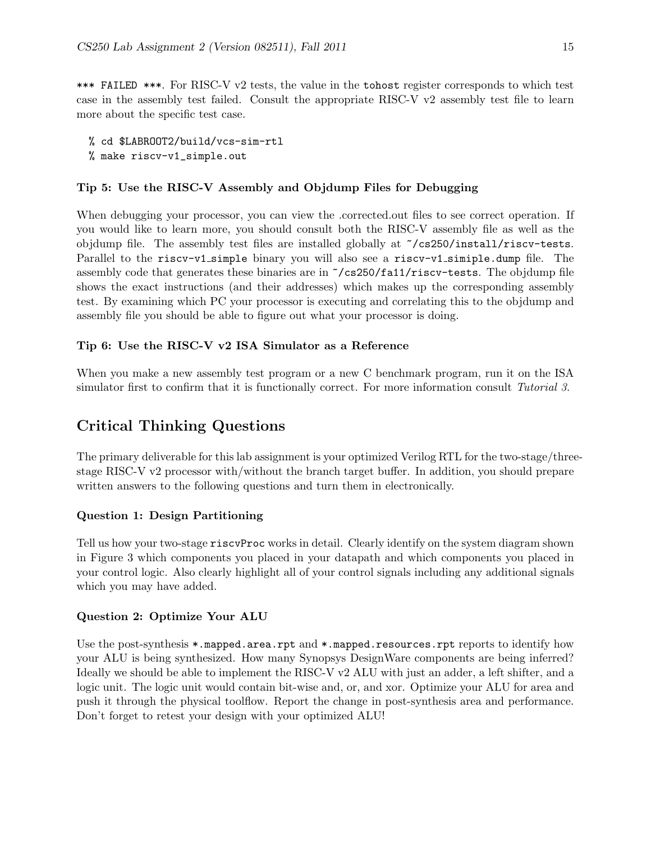\*\*\* FAILED \*\*\*. For RISC-V v2 tests, the value in the tohost register corresponds to which test case in the assembly test failed. Consult the appropriate RISC-V v2 assembly test file to learn more about the specific test case.

% cd \$LABROOT2/build/vcs-sim-rtl % make riscv-v1\_simple.out

#### Tip 5: Use the RISC-V Assembly and Objdump Files for Debugging

When debugging your processor, you can view the .corrected.out files to see correct operation. If you would like to learn more, you should consult both the RISC-V assembly file as well as the objdump file. The assembly test files are installed globally at ~/cs250/install/riscv-tests. Parallel to the riscv-v1 simple binary you will also see a riscv-v1 simiple.dump file. The assembly code that generates these binaries are in ~/cs250/fa11/riscv-tests. The objdump file shows the exact instructions (and their addresses) which makes up the corresponding assembly test. By examining which PC your processor is executing and correlating this to the objdump and assembly file you should be able to figure out what your processor is doing.

### Tip 6: Use the RISC-V v2 ISA Simulator as a Reference

When you make a new assembly test program or a new C benchmark program, run it on the ISA simulator first to confirm that it is functionally correct. For more information consult Tutorial 3.

# Critical Thinking Questions

The primary deliverable for this lab assignment is your optimized Verilog RTL for the two-stage/threestage RISC-V v2 processor with/without the branch target buffer. In addition, you should prepare written answers to the following questions and turn them in electronically.

#### Question 1: Design Partitioning

Tell us how your two-stage riscvProc works in detail. Clearly identify on the system diagram shown in Figure 3 which components you placed in your datapath and which components you placed in your control logic. Also clearly highlight all of your control signals including any additional signals which you may have added.

#### Question 2: Optimize Your ALU

Use the post-synthesis  $\ast$ .mapped.area.rpt and  $\ast$ .mapped.resources.rpt reports to identify how your ALU is being synthesized. How many Synopsys DesignWare components are being inferred? Ideally we should be able to implement the RISC-V v2 ALU with just an adder, a left shifter, and a logic unit. The logic unit would contain bit-wise and, or, and xor. Optimize your ALU for area and push it through the physical toolflow. Report the change in post-synthesis area and performance. Don't forget to retest your design with your optimized ALU!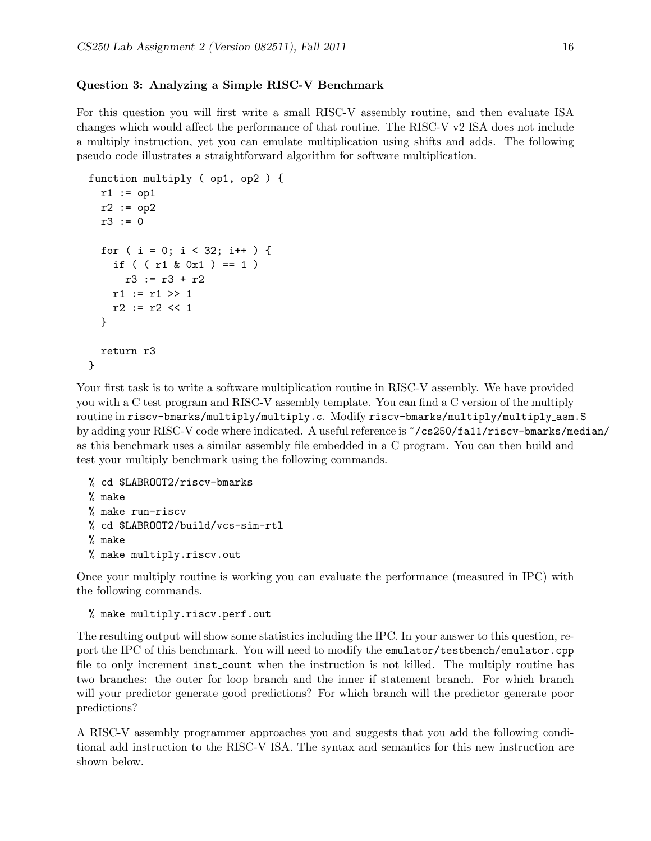#### Question 3: Analyzing a Simple RISC-V Benchmark

For this question you will first write a small RISC-V assembly routine, and then evaluate ISA changes which would affect the performance of that routine. The RISC-V v2 ISA does not include a multiply instruction, yet you can emulate multiplication using shifts and adds. The following pseudo code illustrates a straightforward algorithm for software multiplication.

```
function multiply ( op1, op2 ) {
 r1 := op1r2 := op2r3 := 0for ( i = 0; i < 32; i++) {
    if ( (r1 \& 0x1) == 1)r3 := r3 + r2
    r1 := r1 \gg 1r2 := r2 \ll 1}
 return r3
}
```
Your first task is to write a software multiplication routine in RISC-V assembly. We have provided you with a C test program and RISC-V assembly template. You can find a C version of the multiply routine in riscv-bmarks/multiply/multiply.c. Modify riscv-bmarks/multiply/multiply asm.S by adding your RISC-V code where indicated. A useful reference is ~/cs250/fa11/riscv-bmarks/median/ as this benchmark uses a similar assembly file embedded in a C program. You can then build and test your multiply benchmark using the following commands.

```
% cd $LABROOT2/riscv-bmarks
% make
% make run-riscv
% cd $LABROOT2/build/vcs-sim-rtl
% make
% make multiply.riscv.out
```
Once your multiply routine is working you can evaluate the performance (measured in IPC) with the following commands.

```
% make multiply.riscv.perf.out
```
The resulting output will show some statistics including the IPC. In your answer to this question, report the IPC of this benchmark. You will need to modify the emulator/testbench/emulator.cpp file to only increment inst count when the instruction is not killed. The multiply routine has two branches: the outer for loop branch and the inner if statement branch. For which branch will your predictor generate good predictions? For which branch will the predictor generate poor predictions?

A RISC-V assembly programmer approaches you and suggests that you add the following conditional add instruction to the RISC-V ISA. The syntax and semantics for this new instruction are shown below.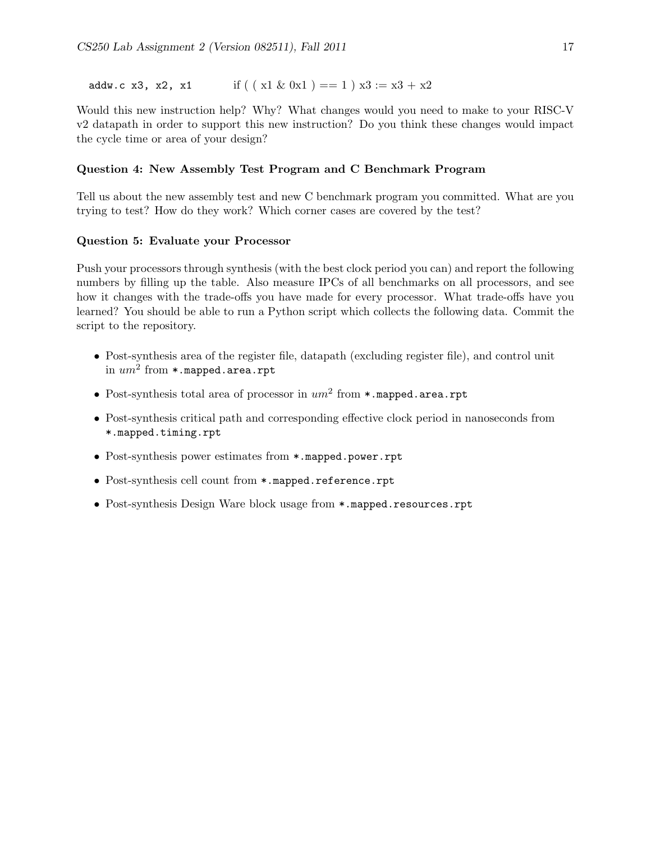addw.c x3, x2, x1 if  $((x1 \& 0x1) == 1)x3 := x3 + x2$ 

Would this new instruction help? Why? What changes would you need to make to your RISC-V v2 datapath in order to support this new instruction? Do you think these changes would impact the cycle time or area of your design?

### Question 4: New Assembly Test Program and C Benchmark Program

Tell us about the new assembly test and new C benchmark program you committed. What are you trying to test? How do they work? Which corner cases are covered by the test?

#### Question 5: Evaluate your Processor

Push your processors through synthesis (with the best clock period you can) and report the following numbers by filling up the table. Also measure IPCs of all benchmarks on all processors, and see how it changes with the trade-offs you have made for every processor. What trade-offs have you learned? You should be able to run a Python script which collects the following data. Commit the script to the repository.

- Post-synthesis area of the register file, datapath (excluding register file), and control unit in  $\mathit{um}^{2}$  from  $*$ .mapped.area.rpt
- Post-synthesis total area of processor in  $um^2$  from  $*$ .mapped.area.rpt
- Post-synthesis critical path and corresponding effective clock period in nanoseconds from \*.mapped.timing.rpt
- Post-synthesis power estimates from \*.mapped.power.rpt
- Post-synthesis cell count from \*.mapped.reference.rpt
- Post-synthesis Design Ware block usage from \*.mapped.resources.rpt